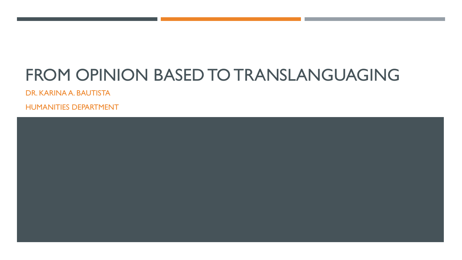# FROM OPINION BASED TO TRANSLANGUAGING

DR. KARINA A. BAUTISTA

HUMANITIES DEPARTMENT

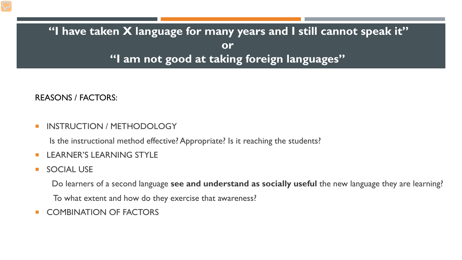#### **"I have taken X language for many years and I still cannot speak it" or "I am not good at taking foreign languages"**

REASONS / FACTORS:

**INSTRUCTION / METHODOLOGY** 

Is the instructional method effective? Appropriate? Is it reaching the students?

- **LEARNER'S LEARNING STYLE**
- **SOCIAL USE**

Do learners of a second language **see and understand as socially useful** the new language they are learning?

To what extent and how do they exercise that awareness?

**E** COMBINATION OF FACTORS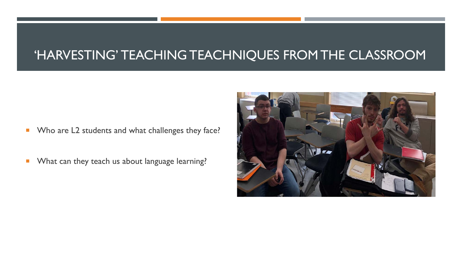## 'HARVESTING' TEACHING TEACHNIQUES FROM THE CLASSROOM

**No are L2 students and what challenges they face?** 

**Number 1** What can they teach us about language learning?

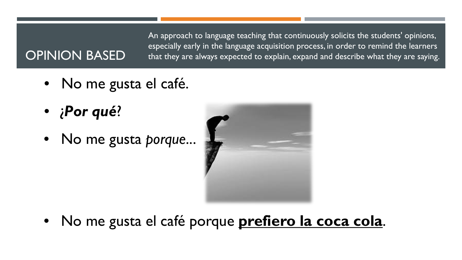An approach to language teaching that continuously solicits the students' opinions, especially early in the language acquisition process, in order to remind the learners that they are always expected to explain, expand and describe what they are saying.

# OPINION BASED

- No me gusta el café.
- ¿*Por qué*?
- No me gusta *porque*...



• No me gusta el café porque **prefiero la coca cola**.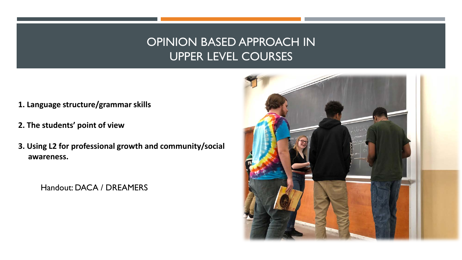#### OPINION BASED APPROACH IN UPPER LEVEL COURSES

- **1. Language structure/grammar skills**
- **2. The students' point of view**
- **3. Using L2 for professional growth and community/social awareness.**

Handout: DACA / DREAMERS

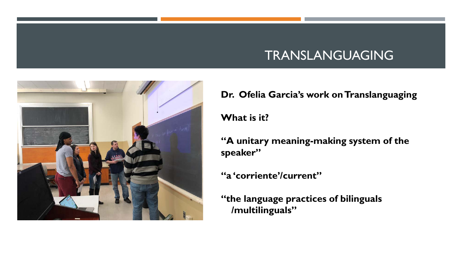# TRANSLANGUAGING



**Dr. Ofelia Garcia's work on Translanguaging** 

**What is it?** 

**"A unitary meaning-making system of the speaker"** 

**"a 'corriente'/current"** 

**"the language practices of bilinguals /multilinguals"**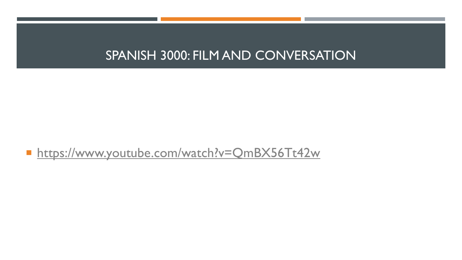## SPANISH 3000: FILM AND CONVERSATION

■ <https://www.youtube.com/watch?v=QmBX56Tt42w>